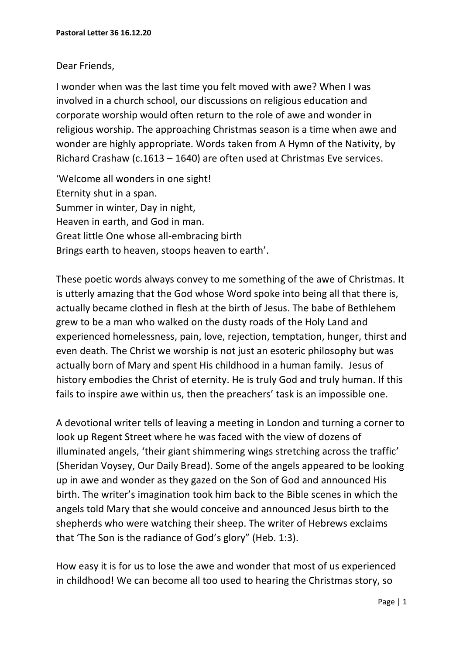## Dear Friends,

I wonder when was the last time you felt moved with awe? When I was involved in a church school, our discussions on religious education and corporate worship would often return to the role of awe and wonder in religious worship. The approaching Christmas season is a time when awe and wonder are highly appropriate. Words taken from A Hymn of the Nativity, by Richard Crashaw (c.1613 – 1640) are often used at Christmas Eve services.

'Welcome all wonders in one sight! Eternity shut in a span. Summer in winter, Day in night, Heaven in earth, and God in man. Great little One whose all-embracing birth Brings earth to heaven, stoops heaven to earth'.

These poetic words always convey to me something of the awe of Christmas. It is utterly amazing that the God whose Word spoke into being all that there is, actually became clothed in flesh at the birth of Jesus. The babe of Bethlehem grew to be a man who walked on the dusty roads of the Holy Land and experienced homelessness, pain, love, rejection, temptation, hunger, thirst and even death. The Christ we worship is not just an esoteric philosophy but was actually born of Mary and spent His childhood in a human family. Jesus of history embodies the Christ of eternity. He is truly God and truly human. If this fails to inspire awe within us, then the preachers' task is an impossible one.

A devotional writer tells of leaving a meeting in London and turning a corner to look up Regent Street where he was faced with the view of dozens of illuminated angels, 'their giant shimmering wings stretching across the traffic' (Sheridan Voysey, Our Daily Bread). Some of the angels appeared to be looking up in awe and wonder as they gazed on the Son of God and announced His birth. The writer's imagination took him back to the Bible scenes in which the angels told Mary that she would conceive and announced Jesus birth to the shepherds who were watching their sheep. The writer of Hebrews exclaims that 'The Son is the radiance of God's glory" (Heb. 1:3).

How easy it is for us to lose the awe and wonder that most of us experienced in childhood! We can become all too used to hearing the Christmas story, so